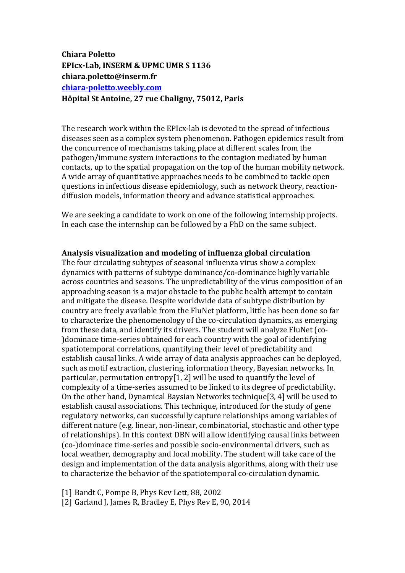## **Chiara Poletto EPIcx-Lab, INSERM & UPMC UMR S 1136 chiara.poletto@inserm.fr chiara-poletto.weebly.com Hôpital St Antoine, 27 rue Chaligny, 75012, Paris**

The research work within the EPIcx-lab is devoted to the spread of infectious diseases seen as a complex system phenomenon. Pathogen epidemics result from the concurrence of mechanisms taking place at different scales from the pathogen/immune system interactions to the contagion mediated by human contacts, up to the spatial propagation on the top of the human mobility network. A wide array of quantitative approaches needs to be combined to tackle open questions in infectious disease epidemiology, such as network theory, reactiondiffusion models, information theory and advance statistical approaches.

We are seeking a candidate to work on one of the following internship projects. In each case the internship can be followed by a PhD on the same subject.

## **Analysis visualization and modeling of influenza global circulation**

The four circulating subtypes of seasonal influenza virus show a complex dynamics with patterns of subtype dominance/co-dominance highly variable across countries and seasons. The unpredictability of the virus composition of an approaching season is a major obstacle to the public health attempt to contain and mitigate the disease. Despite worldwide data of subtype distribution by country are freely available from the FluNet platform, little has been done so far to characterize the phenomenology of the co-circulation dynamics, as emerging from these data, and identify its drivers. The student will analyze FluNet (co-)dominace time-series obtained for each country with the goal of identifying spatiotemporal correlations, quantifying their level of predictability and establish causal links. A wide array of data analysis approaches can be deployed, such as motif extraction, clustering, information theory, Bayesian networks. In particular, permutation entropy[1, 2] will be used to quantify the level of complexity of a time-series assumed to be linked to its degree of predictability. On the other hand, Dynamical Baysian Networks technique<sup>[3]</sup>, 4] will be used to establish causal associations. This technique, introduced for the study of gene regulatory networks, can successfully capture relationships among variables of different nature (e.g. linear, non-linear, combinatorial, stochastic and other type of relationships). In this context DBN will allow identifying causal links between (co-)dominace time-series and possible socio-environmental drivers, such as local weather, demography and local mobility. The student will take care of the design and implementation of the data analysis algorithms, along with their use to characterize the behavior of the spatiotemporal co-circulation dynamic.

[1] Bandt C, Pompe B, Phys Rev Lett, 88, 2002

[2] Garland J, James R, Bradley E, Phys Rev E, 90, 2014